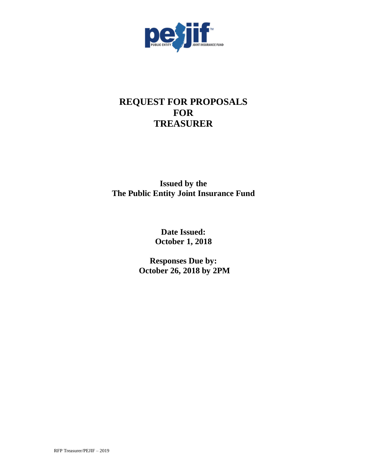

# **REQUEST FOR PROPOSALS FOR TREASURER**

**Issued by the The Public Entity Joint Insurance Fund**

> **Date Issued: October 1, 2018**

**Responses Due by: October 26, 2018 by 2PM**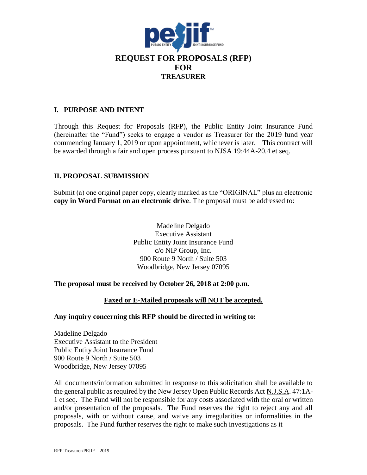

#### **I. PURPOSE AND INTENT**

Through this Request for Proposals (RFP), the Public Entity Joint Insurance Fund (hereinafter the "Fund") seeks to engage a vendor as Treasurer for the 2019 fund year commencing January 1, 2019 or upon appointment, whichever is later. This contract will be awarded through a fair and open process pursuant to NJSA 19:44A-20.4 et seq.

## **II. PROPOSAL SUBMISSION**

Submit (a) one original paper copy, clearly marked as the "ORIGINAL" plus an electronic **copy in Word Format on an electronic drive**. The proposal must be addressed to:

> Madeline Delgado Executive Assistant Public Entity Joint Insurance Fund c/o NIP Group, Inc. 900 Route 9 North / Suite 503 Woodbridge, New Jersey 07095

## **The proposal must be received by October 26, 2018 at 2:00 p.m.**

**Faxed or E-Mailed proposals will NOT be accepted.**

#### **Any inquiry concerning this RFP should be directed in writing to:**

Madeline Delgado Executive Assistant to the President Public Entity Joint Insurance Fund 900 Route 9 North / Suite 503 Woodbridge, New Jersey 07095

All documents/information submitted in response to this solicitation shall be available to the general public as required by the New Jersey Open Public Records Act N.J.S.A. 47:1A-1 et seq. The Fund will not be responsible for any costs associated with the oral or written and/or presentation of the proposals. The Fund reserves the right to reject any and all proposals, with or without cause, and waive any irregularities or informalities in the proposals. The Fund further reserves the right to make such investigations as it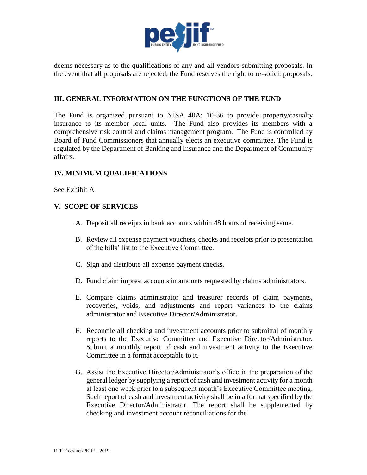

deems necessary as to the qualifications of any and all vendors submitting proposals. In the event that all proposals are rejected, the Fund reserves the right to re-solicit proposals.

#### **III. GENERAL INFORMATION ON THE FUNCTIONS OF THE FUND**

The Fund is organized pursuant to NJSA 40A: 10-36 to provide property/casualty insurance to its member local units. The Fund also provides its members with a comprehensive risk control and claims management program. The Fund is controlled by Board of Fund Commissioners that annually elects an executive committee. The Fund is regulated by the Department of Banking and Insurance and the Department of Community affairs.

## **IV. MINIMUM QUALIFICATIONS**

See Exhibit A

#### **V. SCOPE OF SERVICES**

- A. Deposit all receipts in bank accounts within 48 hours of receiving same.
- B. Review all expense payment vouchers, checks and receipts prior to presentation of the bills' list to the Executive Committee.
- C. Sign and distribute all expense payment checks.
- D. Fund claim imprest accounts in amounts requested by claims administrators.
- E. Compare claims administrator and treasurer records of claim payments, recoveries, voids, and adjustments and report variances to the claims administrator and Executive Director/Administrator.
- F. Reconcile all checking and investment accounts prior to submittal of monthly reports to the Executive Committee and Executive Director/Administrator. Submit a monthly report of cash and investment activity to the Executive Committee in a format acceptable to it.
- G. Assist the Executive Director/Administrator's office in the preparation of the general ledger by supplying a report of cash and investment activity for a month at least one week prior to a subsequent month's Executive Committee meeting. Such report of cash and investment activity shall be in a format specified by the Executive Director/Administrator. The report shall be supplemented by checking and investment account reconciliations for the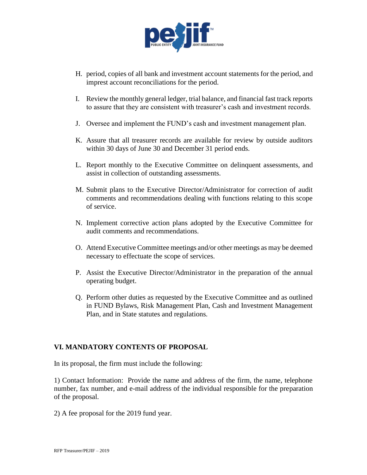

- H. period, copies of all bank and investment account statements for the period, and imprest account reconciliations for the period.
- I. Review the monthly general ledger, trial balance, and financial fast track reports to assure that they are consistent with treasurer's cash and investment records.
- J. Oversee and implement the FUND's cash and investment management plan.
- K. Assure that all treasurer records are available for review by outside auditors within 30 days of June 30 and December 31 period ends.
- L. Report monthly to the Executive Committee on delinquent assessments, and assist in collection of outstanding assessments.
- M. Submit plans to the Executive Director/Administrator for correction of audit comments and recommendations dealing with functions relating to this scope of service.
- N. Implement corrective action plans adopted by the Executive Committee for audit comments and recommendations.
- O. Attend Executive Committee meetings and/or other meetings as may be deemed necessary to effectuate the scope of services.
- P. Assist the Executive Director/Administrator in the preparation of the annual operating budget.
- Q. Perform other duties as requested by the Executive Committee and as outlined in FUND Bylaws, Risk Management Plan, Cash and Investment Management Plan, and in State statutes and regulations.

## **VI. MANDATORY CONTENTS OF PROPOSAL**

In its proposal, the firm must include the following:

1) Contact Information: Provide the name and address of the firm, the name, telephone number, fax number, and e-mail address of the individual responsible for the preparation of the proposal.

2) A fee proposal for the 2019 fund year.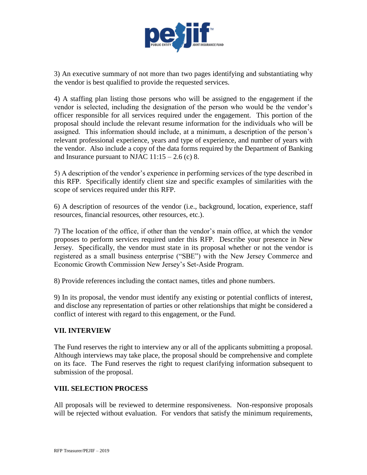

3) An executive summary of not more than two pages identifying and substantiating why the vendor is best qualified to provide the requested services.

4) A staffing plan listing those persons who will be assigned to the engagement if the vendor is selected, including the designation of the person who would be the vendor's officer responsible for all services required under the engagement. This portion of the proposal should include the relevant resume information for the individuals who will be assigned. This information should include, at a minimum, a description of the person's relevant professional experience, years and type of experience, and number of years with the vendor. Also include a copy of the data forms required by the Department of Banking and Insurance pursuant to NJAC  $11:15 - 2.6$  (c) 8.

5) A description of the vendor's experience in performing services of the type described in this RFP. Specifically identify client size and specific examples of similarities with the scope of services required under this RFP.

6) A description of resources of the vendor (i.e., background, location, experience, staff resources, financial resources, other resources, etc.).

7) The location of the office, if other than the vendor's main office, at which the vendor proposes to perform services required under this RFP. Describe your presence in New Jersey. Specifically, the vendor must state in its proposal whether or not the vendor is registered as a small business enterprise ("SBE") with the New Jersey Commerce and Economic Growth Commission New Jersey's Set-Aside Program.

8) Provide references including the contact names, titles and phone numbers.

9) In its proposal, the vendor must identify any existing or potential conflicts of interest, and disclose any representation of parties or other relationships that might be considered a conflict of interest with regard to this engagement, or the Fund.

## **VII. INTERVIEW**

The Fund reserves the right to interview any or all of the applicants submitting a proposal. Although interviews may take place, the proposal should be comprehensive and complete on its face. The Fund reserves the right to request clarifying information subsequent to submission of the proposal.

## **VIII. SELECTION PROCESS**

All proposals will be reviewed to determine responsiveness. Non-responsive proposals will be rejected without evaluation. For vendors that satisfy the minimum requirements,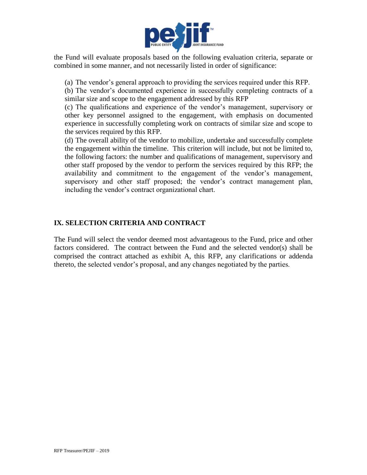

the Fund will evaluate proposals based on the following evaluation criteria, separate or combined in some manner, and not necessarily listed in order of significance:

(a) The vendor's general approach to providing the services required under this RFP.

(b) The vendor's documented experience in successfully completing contracts of a similar size and scope to the engagement addressed by this RFP

(c) The qualifications and experience of the vendor's management, supervisory or other key personnel assigned to the engagement, with emphasis on documented experience in successfully completing work on contracts of similar size and scope to the services required by this RFP.

(d) The overall ability of the vendor to mobilize, undertake and successfully complete the engagement within the timeline. This criterion will include, but not be limited to, the following factors: the number and qualifications of management, supervisory and other staff proposed by the vendor to perform the services required by this RFP; the availability and commitment to the engagement of the vendor's management, supervisory and other staff proposed; the vendor's contract management plan, including the vendor's contract organizational chart.

# **IX. SELECTION CRITERIA AND CONTRACT**

The Fund will select the vendor deemed most advantageous to the Fund, price and other factors considered. The contract between the Fund and the selected vendor(s) shall be comprised the contract attached as exhibit A, this RFP, any clarifications or addenda thereto, the selected vendor's proposal, and any changes negotiated by the parties.